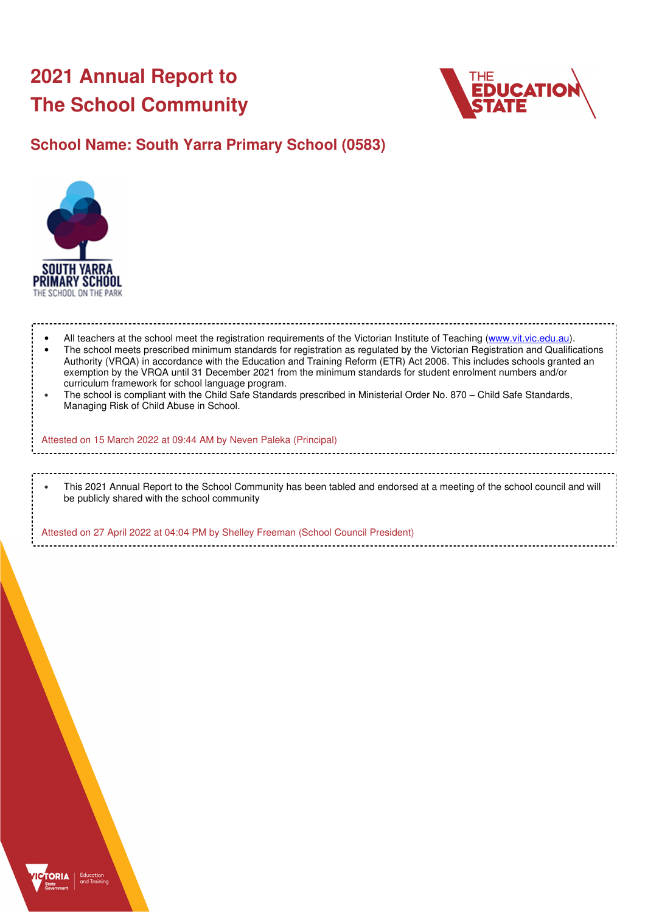# **2021 Annual Report to The School Community**



# **School Name: South Yarra Primary School (0583)**



• All teachers at the school meet the registration requirements of the Victorian Institute of Teaching (www.vit.vic.edu.au). • The school meets prescribed minimum standards for registration as regulated by the Victorian Registration and Qualifications Authority (VRQA) in accordance with the Education and Training Reform (ETR) Act 2006. This includes schools granted an

exemption by the VRQA until 31 December 2021 from the minimum standards for student enrolment numbers and/or curriculum framework for school language program. • The school is compliant with the Child Safe Standards prescribed in Ministerial Order No. 870 – Child Safe Standards, Managing Risk of Child Abuse in School.

Attested on 15 March 2022 at 09:44 AM by Neven Paleka (Principal)

### • This 2021 Annual Report to the School Community has been tabled and endorsed at a meeting of the school council and will be publicly shared with the school community

Attested on 27 April 2022 at 04:04 PM by Shelley Freeman (School Council President)

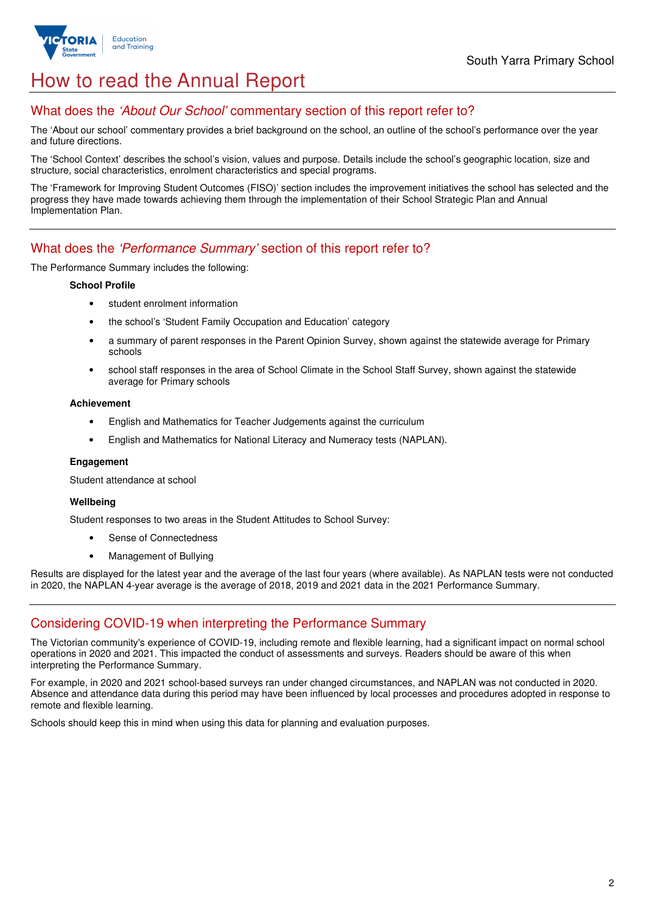

# How to read the Annual Report

## What does the 'About Our School' commentary section of this report refer to?

The 'About our school' commentary provides a brief background on the school, an outline of the school's performance over the year and future directions.

The 'School Context' describes the school's vision, values and purpose. Details include the school's geographic location, size and structure, social characteristics, enrolment characteristics and special programs.

The 'Framework for Improving Student Outcomes (FISO)' section includes the improvement initiatives the school has selected and the progress they have made towards achieving them through the implementation of their School Strategic Plan and Annual Implementation Plan.

### What does the 'Performance Summary' section of this report refer to?

The Performance Summary includes the following:

#### **School Profile**

- student enrolment information
- the school's 'Student Family Occupation and Education' category
- a summary of parent responses in the Parent Opinion Survey, shown against the statewide average for Primary schools
- school staff responses in the area of School Climate in the School Staff Survey, shown against the statewide average for Primary schools

#### **Achievement**

- English and Mathematics for Teacher Judgements against the curriculum
- English and Mathematics for National Literacy and Numeracy tests (NAPLAN).

#### **Engagement**

Student attendance at school

### **Wellbeing**

Student responses to two areas in the Student Attitudes to School Survey:

- Sense of Connectedness
- Management of Bullying

Results are displayed for the latest year and the average of the last four years (where available). As NAPLAN tests were not conducted in 2020, the NAPLAN 4-year average is the average of 2018, 2019 and 2021 data in the 2021 Performance Summary.

## Considering COVID-19 when interpreting the Performance Summary

The Victorian community's experience of COVID-19, including remote and flexible learning, had a significant impact on normal school operations in 2020 and 2021. This impacted the conduct of assessments and surveys. Readers should be aware of this when interpreting the Performance Summary.

For example, in 2020 and 2021 school-based surveys ran under changed circumstances, and NAPLAN was not conducted in 2020. Absence and attendance data during this period may have been influenced by local processes and procedures adopted in response to remote and flexible learning.

Schools should keep this in mind when using this data for planning and evaluation purposes.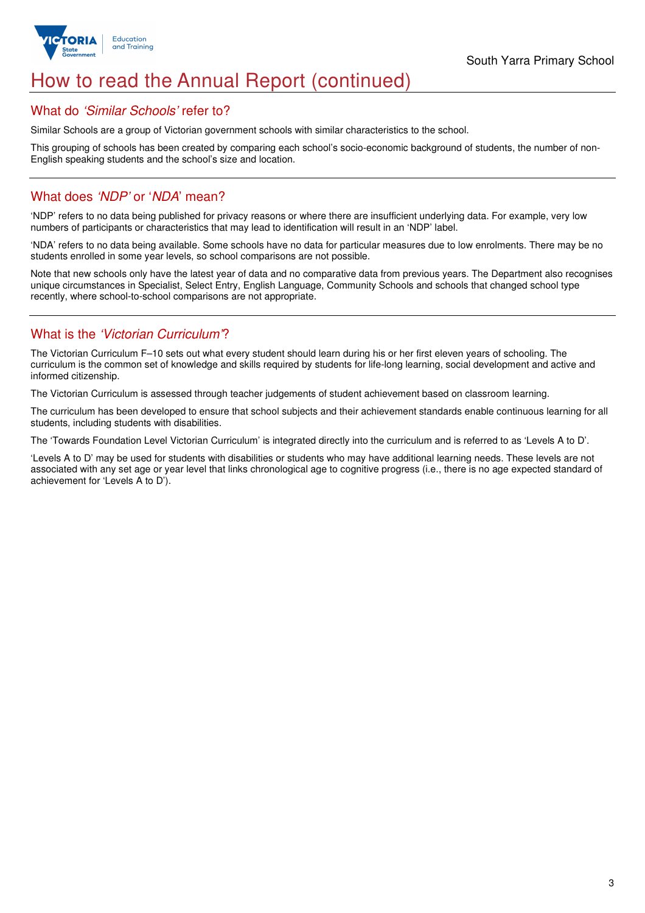

# How to read the Annual Report (continued)

### What do 'Similar Schools' refer to?

Similar Schools are a group of Victorian government schools with similar characteristics to the school.

This grouping of schools has been created by comparing each school's socio-economic background of students, the number of non-English speaking students and the school's size and location.

## What does 'NDP' or 'NDA' mean?

'NDP' refers to no data being published for privacy reasons or where there are insufficient underlying data. For example, very low numbers of participants or characteristics that may lead to identification will result in an 'NDP' label.

'NDA' refers to no data being available. Some schools have no data for particular measures due to low enrolments. There may be no students enrolled in some year levels, so school comparisons are not possible.

Note that new schools only have the latest year of data and no comparative data from previous years. The Department also recognises unique circumstances in Specialist, Select Entry, English Language, Community Schools and schools that changed school type recently, where school-to-school comparisons are not appropriate.

## What is the 'Victorian Curriculum'?

The Victorian Curriculum F–10 sets out what every student should learn during his or her first eleven years of schooling. The curriculum is the common set of knowledge and skills required by students for life-long learning, social development and active and informed citizenship.

The Victorian Curriculum is assessed through teacher judgements of student achievement based on classroom learning.

The curriculum has been developed to ensure that school subjects and their achievement standards enable continuous learning for all students, including students with disabilities.

The 'Towards Foundation Level Victorian Curriculum' is integrated directly into the curriculum and is referred to as 'Levels A to D'.

'Levels A to D' may be used for students with disabilities or students who may have additional learning needs. These levels are not associated with any set age or year level that links chronological age to cognitive progress (i.e., there is no age expected standard of achievement for 'Levels A to D').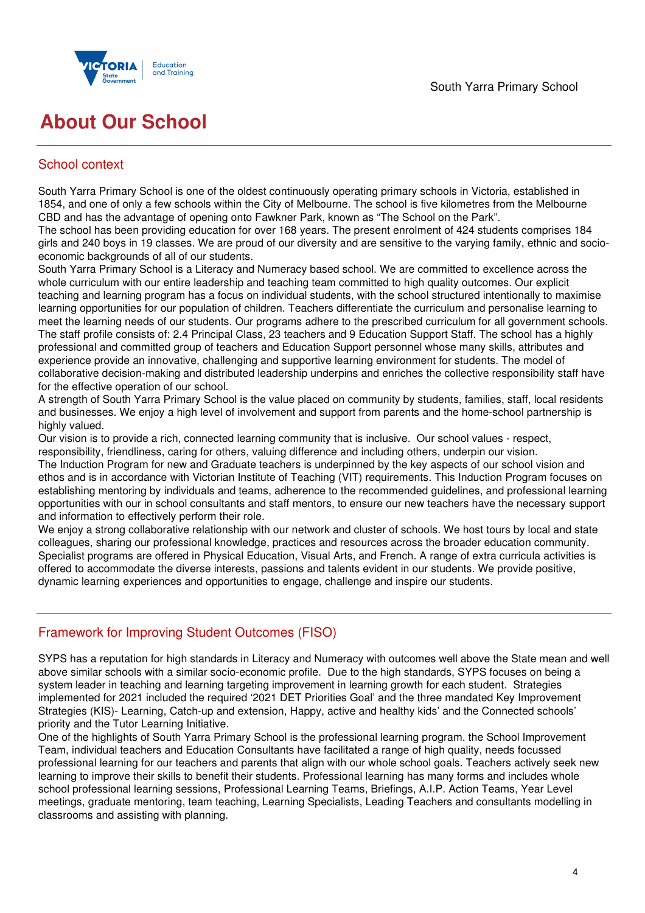

# **About Our School**

## School context

South Yarra Primary School is one of the oldest continuously operating primary schools in Victoria, established in 1854, and one of only a few schools within the City of Melbourne. The school is five kilometres from the Melbourne CBD and has the advantage of opening onto Fawkner Park, known as "The School on the Park".

The school has been providing education for over 168 years. The present enrolment of 424 students comprises 184 girls and 240 boys in 19 classes. We are proud of our diversity and are sensitive to the varying family, ethnic and socioeconomic backgrounds of all of our students.

South Yarra Primary School is a Literacy and Numeracy based school. We are committed to excellence across the whole curriculum with our entire leadership and teaching team committed to high quality outcomes. Our explicit teaching and learning program has a focus on individual students, with the school structured intentionally to maximise learning opportunities for our population of children. Teachers differentiate the curriculum and personalise learning to meet the learning needs of our students. Our programs adhere to the prescribed curriculum for all government schools. The staff profile consists of: 2.4 Principal Class, 23 teachers and 9 Education Support Staff. The school has a highly professional and committed group of teachers and Education Support personnel whose many skills, attributes and experience provide an innovative, challenging and supportive learning environment for students. The model of collaborative decision-making and distributed leadership underpins and enriches the collective responsibility staff have for the effective operation of our school.

A strength of South Yarra Primary School is the value placed on community by students, families, staff, local residents and businesses. We enjoy a high level of involvement and support from parents and the home-school partnership is highly valued.

Our vision is to provide a rich, connected learning community that is inclusive. Our school values - respect, responsibility, friendliness, caring for others, valuing difference and including others, underpin our vision.

The Induction Program for new and Graduate teachers is underpinned by the key aspects of our school vision and ethos and is in accordance with Victorian Institute of Teaching (VIT) requirements. This Induction Program focuses on establishing mentoring by individuals and teams, adherence to the recommended guidelines, and professional learning opportunities with our in school consultants and staff mentors, to ensure our new teachers have the necessary support and information to effectively perform their role.

We enjoy a strong collaborative relationship with our network and cluster of schools. We host tours by local and state colleagues, sharing our professional knowledge, practices and resources across the broader education community. Specialist programs are offered in Physical Education, Visual Arts, and French. A range of extra curricula activities is offered to accommodate the diverse interests, passions and talents evident in our students. We provide positive, dynamic learning experiences and opportunities to engage, challenge and inspire our students.

# Framework for Improving Student Outcomes (FISO)

SYPS has a reputation for high standards in Literacy and Numeracy with outcomes well above the State mean and well above similar schools with a similar socio-economic profile. Due to the high standards, SYPS focuses on being a system leader in teaching and learning targeting improvement in learning growth for each student. Strategies implemented for 2021 included the required '2021 DET Priorities Goal' and the three mandated Key Improvement Strategies (KIS)- Learning, Catch-up and extension, Happy, active and healthy kids' and the Connected schools' priority and the Tutor Learning Initiative.

One of the highlights of South Yarra Primary School is the professional learning program. the School Improvement Team, individual teachers and Education Consultants have facilitated a range of high quality, needs focussed professional learning for our teachers and parents that align with our whole school goals. Teachers actively seek new learning to improve their skills to benefit their students. Professional learning has many forms and includes whole school professional learning sessions, Professional Learning Teams, Briefings, A.I.P. Action Teams, Year Level meetings, graduate mentoring, team teaching, Learning Specialists, Leading Teachers and consultants modelling in classrooms and assisting with planning.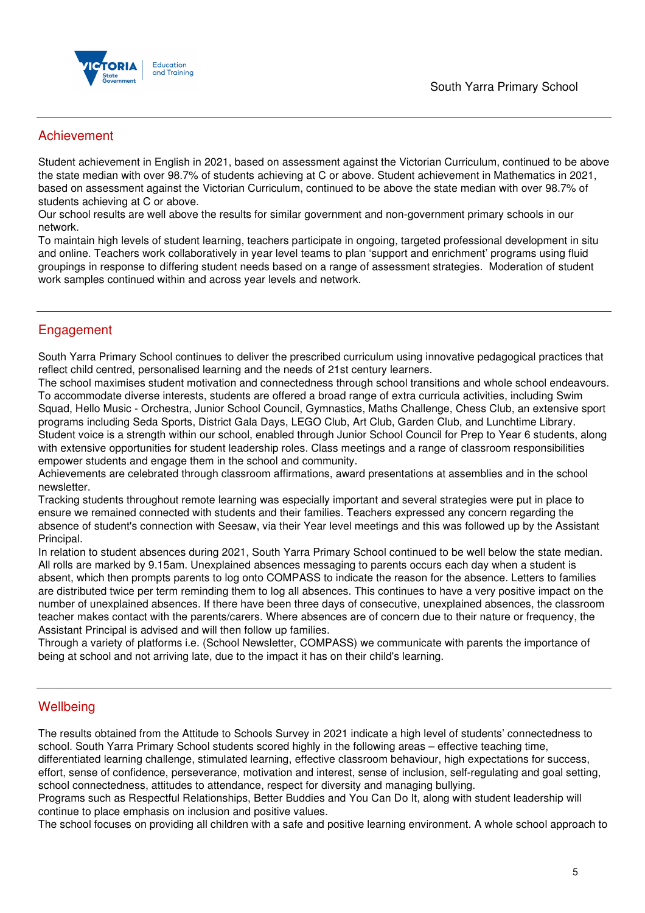

## Achievement

Student achievement in English in 2021, based on assessment against the Victorian Curriculum, continued to be above the state median with over 98.7% of students achieving at C or above. Student achievement in Mathematics in 2021, based on assessment against the Victorian Curriculum, continued to be above the state median with over 98.7% of students achieving at C or above.

Our school results are well above the results for similar government and non-government primary schools in our network.

To maintain high levels of student learning, teachers participate in ongoing, targeted professional development in situ and online. Teachers work collaboratively in year level teams to plan 'support and enrichment' programs using fluid groupings in response to differing student needs based on a range of assessment strategies. Moderation of student work samples continued within and across year levels and network.

## Engagement

South Yarra Primary School continues to deliver the prescribed curriculum using innovative pedagogical practices that reflect child centred, personalised learning and the needs of 21st century learners.

The school maximises student motivation and connectedness through school transitions and whole school endeavours. To accommodate diverse interests, students are offered a broad range of extra curricula activities, including Swim Squad, Hello Music - Orchestra, Junior School Council, Gymnastics, Maths Challenge, Chess Club, an extensive sport programs including Seda Sports, District Gala Days, LEGO Club, Art Club, Garden Club, and Lunchtime Library. Student voice is a strength within our school, enabled through Junior School Council for Prep to Year 6 students, along with extensive opportunities for student leadership roles. Class meetings and a range of classroom responsibilities empower students and engage them in the school and community.

Achievements are celebrated through classroom affirmations, award presentations at assemblies and in the school newsletter.

Tracking students throughout remote learning was especially important and several strategies were put in place to ensure we remained connected with students and their families. Teachers expressed any concern regarding the absence of student's connection with Seesaw, via their Year level meetings and this was followed up by the Assistant Principal.

In relation to student absences during 2021, South Yarra Primary School continued to be well below the state median. All rolls are marked by 9.15am. Unexplained absences messaging to parents occurs each day when a student is absent, which then prompts parents to log onto COMPASS to indicate the reason for the absence. Letters to families are distributed twice per term reminding them to log all absences. This continues to have a very positive impact on the number of unexplained absences. If there have been three days of consecutive, unexplained absences, the classroom teacher makes contact with the parents/carers. Where absences are of concern due to their nature or frequency, the Assistant Principal is advised and will then follow up families.

Through a variety of platforms i.e. (School Newsletter, COMPASS) we communicate with parents the importance of being at school and not arriving late, due to the impact it has on their child's learning.

## **Wellbeing**

The results obtained from the Attitude to Schools Survey in 2021 indicate a high level of students' connectedness to school. South Yarra Primary School students scored highly in the following areas – effective teaching time, differentiated learning challenge, stimulated learning, effective classroom behaviour, high expectations for success, effort, sense of confidence, perseverance, motivation and interest, sense of inclusion, self-regulating and goal setting, school connectedness, attitudes to attendance, respect for diversity and managing bullying.

Programs such as Respectful Relationships, Better Buddies and You Can Do It, along with student leadership will continue to place emphasis on inclusion and positive values.

The school focuses on providing all children with a safe and positive learning environment. A whole school approach to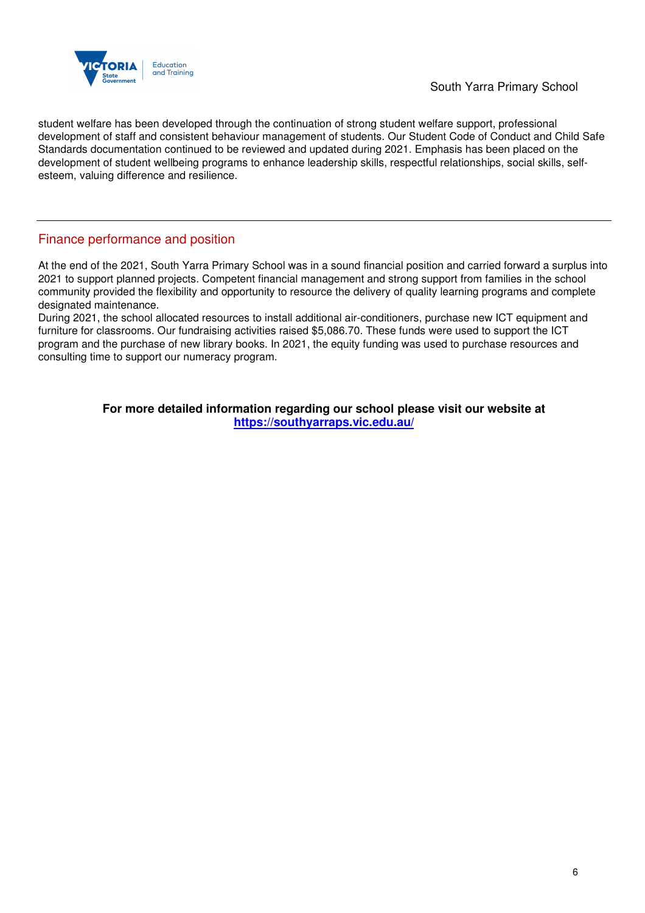

student welfare has been developed through the continuation of strong student welfare support, professional development of staff and consistent behaviour management of students. Our Student Code of Conduct and Child Safe Standards documentation continued to be reviewed and updated during 2021. Emphasis has been placed on the development of student wellbeing programs to enhance leadership skills, respectful relationships, social skills, selfesteem, valuing difference and resilience.

## Finance performance and position

At the end of the 2021, South Yarra Primary School was in a sound financial position and carried forward a surplus into 2021 to support planned projects. Competent financial management and strong support from families in the school community provided the flexibility and opportunity to resource the delivery of quality learning programs and complete designated maintenance.

During 2021, the school allocated resources to install additional air-conditioners, purchase new ICT equipment and furniture for classrooms. Our fundraising activities raised \$5,086.70. These funds were used to support the ICT program and the purchase of new library books. In 2021, the equity funding was used to purchase resources and consulting time to support our numeracy program.

> **For more detailed information regarding our school please visit our website at https://southyarraps.vic.edu.au/**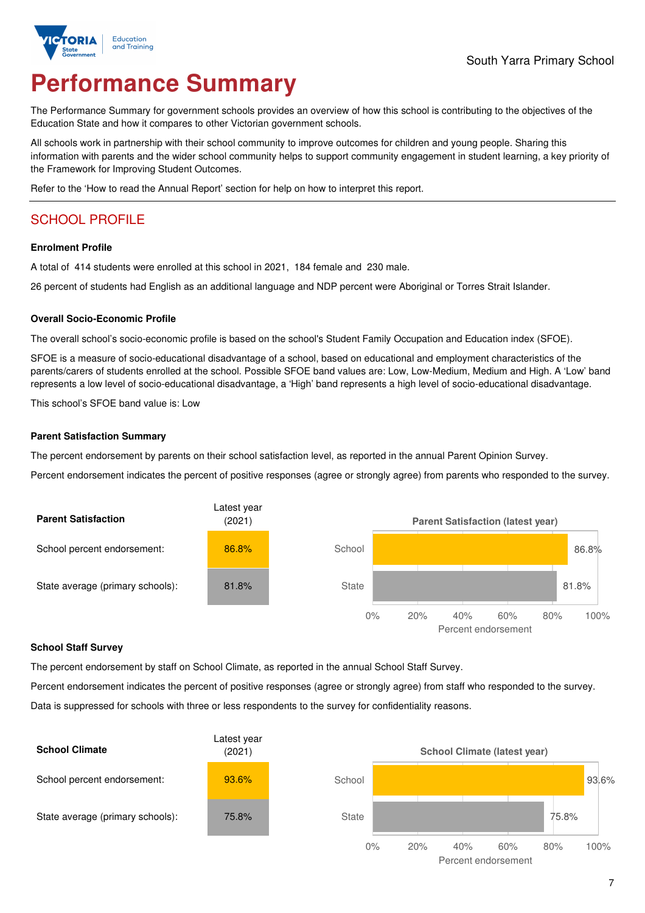

# **Performance Summary**

The Performance Summary for government schools provides an overview of how this school is contributing to the objectives of the Education State and how it compares to other Victorian government schools.

All schools work in partnership with their school community to improve outcomes for children and young people. Sharing this information with parents and the wider school community helps to support community engagement in student learning, a key priority of the Framework for Improving Student Outcomes.

Refer to the 'How to read the Annual Report' section for help on how to interpret this report.

# SCHOOL PROFILE

### **Enrolment Profile**

A total of 414 students were enrolled at this school in 2021, 184 female and 230 male.

26 percent of students had English as an additional language and NDP percent were Aboriginal or Torres Strait Islander.

### **Overall Socio-Economic Profile**

The overall school's socio-economic profile is based on the school's Student Family Occupation and Education index (SFOE).

SFOE is a measure of socio-educational disadvantage of a school, based on educational and employment characteristics of the parents/carers of students enrolled at the school. Possible SFOE band values are: Low, Low-Medium, Medium and High. A 'Low' band represents a low level of socio-educational disadvantage, a 'High' band represents a high level of socio-educational disadvantage.

This school's SFOE band value is: Low

### **Parent Satisfaction Summary**

The percent endorsement by parents on their school satisfaction level, as reported in the annual Parent Opinion Survey.

Percent endorsement indicates the percent of positive responses (agree or strongly agree) from parents who responded to the survey.



### **School Staff Survey**

The percent endorsement by staff on School Climate, as reported in the annual School Staff Survey.

Percent endorsement indicates the percent of positive responses (agree or strongly agree) from staff who responded to the survey. Data is suppressed for schools with three or less respondents to the survey for confidentiality reasons.

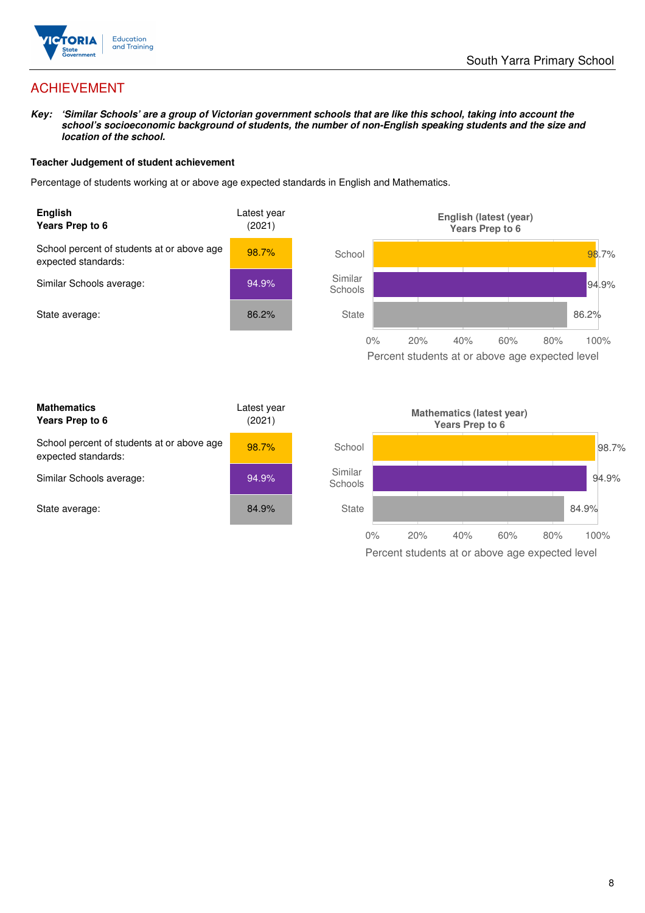

# ACHIEVEMENT

**Key: 'Similar Schools' are a group of Victorian government schools that are like this school, taking into account the school's socioeconomic background of students, the number of non-English speaking students and the size and location of the school.** 

### **Teacher Judgement of student achievement**

Percentage of students working at or above age expected standards in English and Mathematics.



Percent students at or above age expected level

| <b>Mathematics</b><br>Years Prep to 6                             | Latest year<br>(2021) |
|-------------------------------------------------------------------|-----------------------|
| School percent of students at or above age<br>expected standards: | 98.7%                 |
| Similar Schools average:                                          | 94.9%                 |
| State average:                                                    | 84.9%                 |

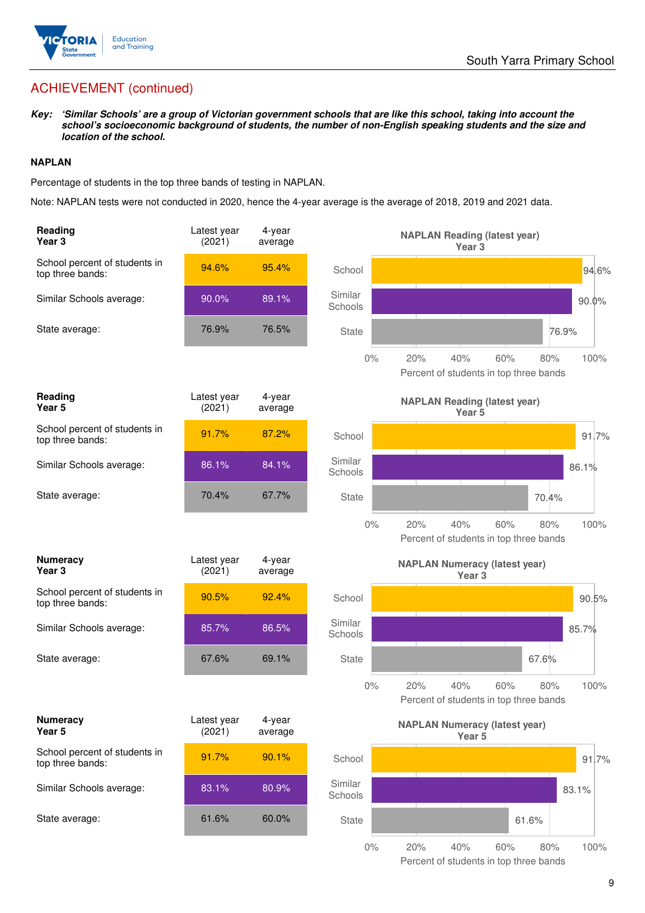

# ACHIEVEMENT (continued)

**Key: 'Similar Schools' are a group of Victorian government schools that are like this school, taking into account the school's socioeconomic background of students, the number of non-English speaking students and the size and location of the school.** 

### **NAPLAN**

Percentage of students in the top three bands of testing in NAPLAN.

Note: NAPLAN tests were not conducted in 2020, hence the 4-year average is the average of 2018, 2019 and 2021 data.

| Reading<br>Year <sub>3</sub>                      | Latest year<br>(2021) | 4-year<br>average |                    | <b>NAPLAN Reading (latest year)</b><br>Year <sub>3</sub>                   |
|---------------------------------------------------|-----------------------|-------------------|--------------------|----------------------------------------------------------------------------|
| School percent of students in<br>top three bands: | 94.6%                 | 95.4%             | School             | 94.6%                                                                      |
| Similar Schools average:                          | 90.0%                 | 89.1%             | Similar<br>Schools | $90.0\%$                                                                   |
| State average:                                    | 76.9%                 | 76.5%             | <b>State</b>       | 76.9%                                                                      |
|                                                   |                       |                   | $0\%$              | 20%<br>40%<br>60%<br>100%<br>80%<br>Percent of students in top three bands |
| Reading<br>Year <sub>5</sub>                      | Latest year<br>(2021) | 4-year<br>average |                    | <b>NAPLAN Reading (latest year)</b><br>Year 5                              |
| School percent of students in<br>top three bands: | 91.7%                 | 87.2%             | School             | 91.7%                                                                      |
| Similar Schools average:                          | 86.1%                 | 84.1%             | Similar<br>Schools | 86.1%                                                                      |
| State average:                                    | 70.4%                 | 67.7%             | <b>State</b>       | 70.4%                                                                      |
|                                                   |                       |                   | $0\%$              | 20%<br>40%<br>60%<br>80%<br>100%<br>Percent of students in top three bands |
| <b>Numeracy</b><br>Year 3                         | Latest year<br>(2021) | 4-year<br>average |                    | <b>NAPLAN Numeracy (latest year)</b><br>Year <sub>3</sub>                  |
| School percent of students in<br>top three bands: | 90.5%                 | 92.4%             | School             | 90.5%                                                                      |
| Similar Schools average:                          | 85.7%                 | 86.5%             | Similar<br>Schools | 85.7%                                                                      |
| State average:                                    | 67.6%                 | 69.1%             | <b>State</b>       | 67.6%                                                                      |
|                                                   |                       |                   | $0\%$              | 100%<br>20%<br>40%<br>60%<br>80%<br>Percent of students in top three bands |
| <b>Numeracy</b><br>Year 5                         | Latest year<br>(2021) | 4-year<br>average |                    | <b>NAPLAN Numeracy (latest year)</b><br>Year 5                             |
| School percent of students in<br>top three bands: | 91.7%                 | 90.1%             | School             | 91.7%                                                                      |
| Similar Schools average:                          | 83.1%                 | 80.9%             | Similar<br>Schools | 83.1%                                                                      |
| State average:                                    | 61.6%                 | 60.0%             | <b>State</b>       | 61.6%                                                                      |
|                                                   |                       |                   | $0\%$              | 20%<br>40%<br>60%<br>80%<br>100%                                           |

Percent of students in top three bands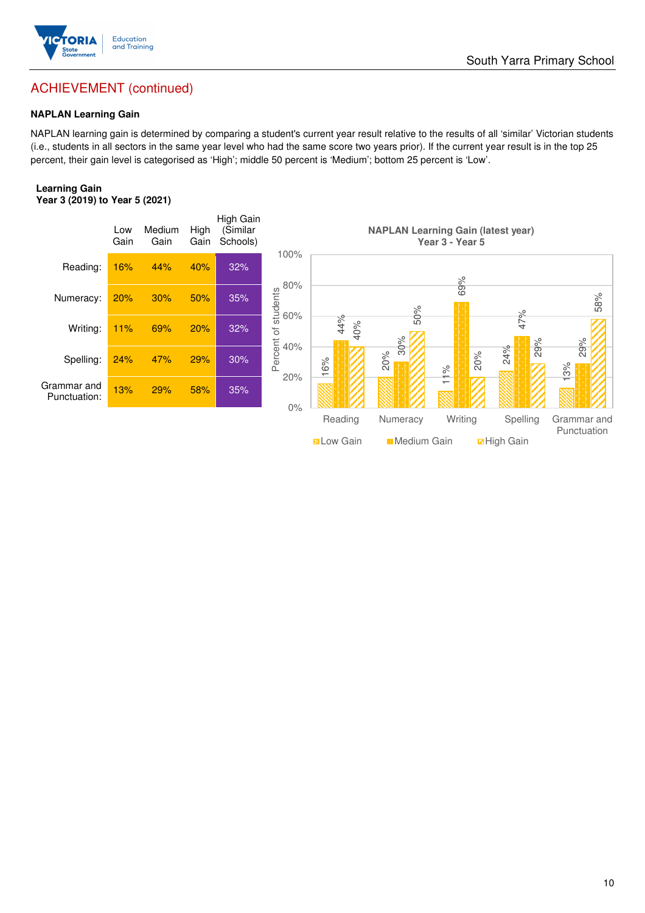

# ACHIEVEMENT (continued)

### **NAPLAN Learning Gain**

NAPLAN learning gain is determined by comparing a student's current year result relative to the results of all 'similar' Victorian students (i.e., students in all sectors in the same year level who had the same score two years prior). If the current year result is in the top 25 percent, their gain level is categorised as 'High'; middle 50 percent is 'Medium'; bottom 25 percent is 'Low'.

#### **Learning Gain Year 3 (2019) to Year 5 (2021)**

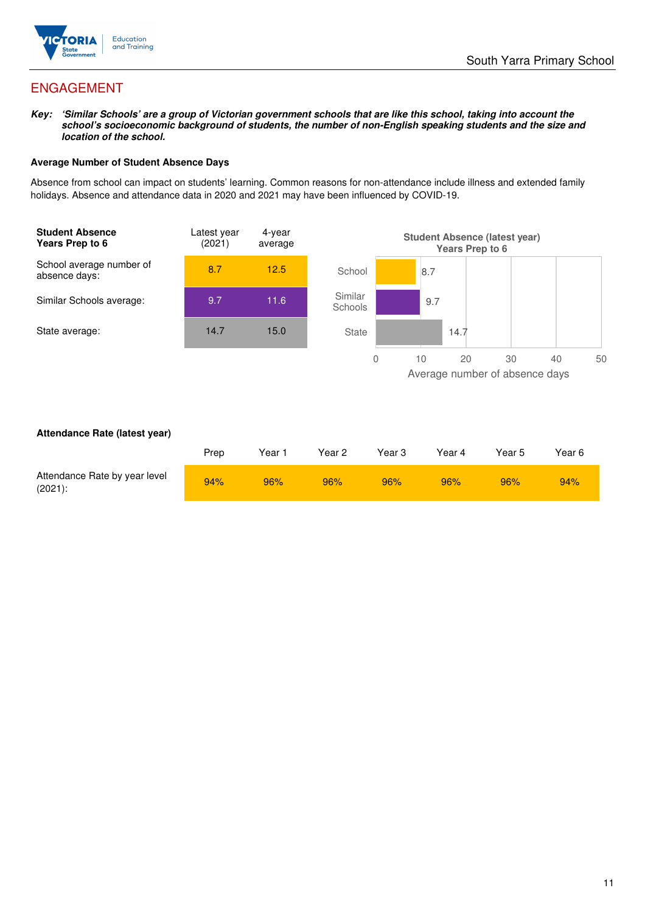

# ENGAGEMENT

**Key: 'Similar Schools' are a group of Victorian government schools that are like this school, taking into account the school's socioeconomic background of students, the number of non-English speaking students and the size and location of the school.** 

### **Average Number of Student Absence Days**

Absence from school can impact on students' learning. Common reasons for non-attendance include illness and extended family holidays. Absence and attendance data in 2020 and 2021 may have been influenced by COVID-19.



### **Attendance Rate (latest year)**

|                                             | Prep | Year <sup>-</sup> | Year 2 | Year 3 | Year 4 | Year 5 | Year 6 |
|---------------------------------------------|------|-------------------|--------|--------|--------|--------|--------|
| Attendance Rate by year level<br>$(2021)$ : | 94%  | 96%               | 96%    | 96%    | 96%    | 96%    | 94%    |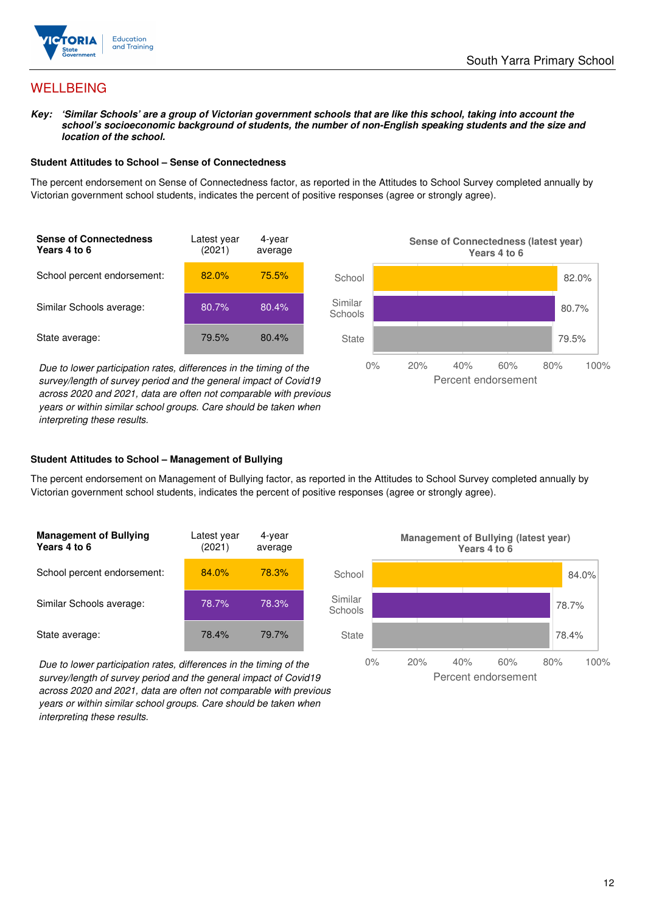

## **WELLBEING**

**Key: 'Similar Schools' are a group of Victorian government schools that are like this school, taking into account the school's socioeconomic background of students, the number of non-English speaking students and the size and location of the school.** 

#### **Student Attitudes to School – Sense of Connectedness**

The percent endorsement on Sense of Connectedness factor, as reported in the Attitudes to School Survey completed annually by Victorian government school students, indicates the percent of positive responses (agree or strongly agree).



Due to lower participation rates, differences in the timing of the survey/length of survey period and the general impact of Covid19 across 2020 and 2021, data are often not comparable with previous years or within similar school groups. Care should be taken when interpreting these results.



### **Student Attitudes to School – Management of Bullying**

The percent endorsement on Management of Bullying factor, as reported in the Attitudes to School Survey completed annually by Victorian government school students, indicates the percent of positive responses (agree or strongly agree).

| <b>Management of Bullying</b><br>Years 4 to 6 | Latest year<br>(2021) | 4-year<br>average |  |
|-----------------------------------------------|-----------------------|-------------------|--|
| School percent endorsement:                   | 84.0%                 | <b>78.3%</b>      |  |
| Similar Schools average:                      | 78.7%                 | 78.3%             |  |
| State average:                                | 78.4%                 | 79.7%             |  |

Due to lower participation rates, differences in the timing of the survey/length of survey period and the general impact of Covid19 across 2020 and 2021, data are often not comparable with previous years or within similar school groups. Care should be taken when interpreting these results.

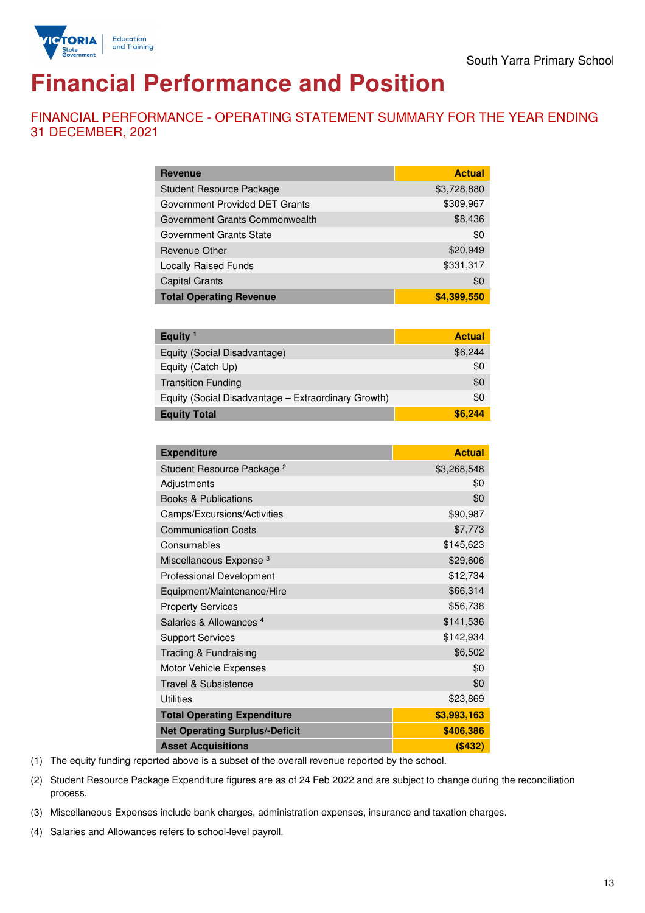

# **Financial Performance and Position**

FINANCIAL PERFORMANCE - OPERATING STATEMENT SUMMARY FOR THE YEAR ENDING 31 DECEMBER, 2021

| <b>Revenue</b>                  | <b>Actual</b> |
|---------------------------------|---------------|
| <b>Student Resource Package</b> | \$3,728,880   |
| Government Provided DET Grants  | \$309,967     |
| Government Grants Commonwealth  | \$8,436       |
| Government Grants State         | \$0           |
| <b>Revenue Other</b>            | \$20,949      |
| <b>Locally Raised Funds</b>     | \$331,317     |
| <b>Capital Grants</b>           | \$0           |
| <b>Total Operating Revenue</b>  | \$4,399,550   |

| Equity $1$                                          | <b>Actual</b> |
|-----------------------------------------------------|---------------|
| Equity (Social Disadvantage)                        | \$6,244       |
| Equity (Catch Up)                                   | \$0           |
| <b>Transition Funding</b>                           | \$0           |
| Equity (Social Disadvantage – Extraordinary Growth) | \$0           |
| <b>Equity Total</b>                                 | \$6.244       |

| <b>Expenditure</b>                    | <b>Actual</b> |
|---------------------------------------|---------------|
| Student Resource Package <sup>2</sup> | \$3,268,548   |
| Adjustments                           | \$0           |
| <b>Books &amp; Publications</b>       | \$0           |
| Camps/Excursions/Activities           | \$90,987      |
| <b>Communication Costs</b>            | \$7,773       |
| Consumables                           | \$145,623     |
| Miscellaneous Expense <sup>3</sup>    | \$29,606      |
| <b>Professional Development</b>       | \$12,734      |
| Equipment/Maintenance/Hire            | \$66,314      |
| <b>Property Services</b>              | \$56,738      |
| Salaries & Allowances <sup>4</sup>    | \$141,536     |
| <b>Support Services</b>               | \$142,934     |
| Trading & Fundraising                 | \$6,502       |
| Motor Vehicle Expenses                | \$0           |
| Travel & Subsistence                  | \$0           |
| <b>Utilities</b>                      | \$23,869      |
| <b>Total Operating Expenditure</b>    | \$3,993,163   |
| <b>Net Operating Surplus/-Deficit</b> | \$406,386     |
| <b>Asset Acquisitions</b>             | (S432)        |

(1) The equity funding reported above is a subset of the overall revenue reported by the school.

(2) Student Resource Package Expenditure figures are as of 24 Feb 2022 and are subject to change during the reconciliation process.

(3) Miscellaneous Expenses include bank charges, administration expenses, insurance and taxation charges.

(4) Salaries and Allowances refers to school-level payroll.